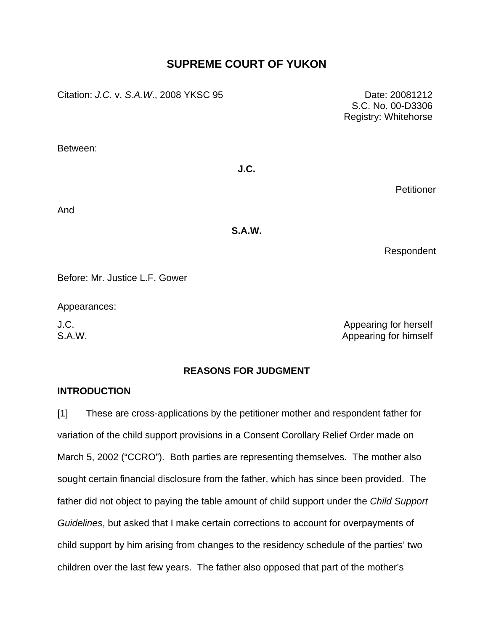# **SUPREME COURT OF YUKON**

Citation: *J.C.* v. *S.A.W.*, 2008 YKSC 95 Date: 20081212

Between:

# **J.C.**

**Petitioner** 

 S.C. No. 00-D3306 Registry: Whitehorse

And

**S.A.W.** 

Respondent

Before: Mr. Justice L.F. Gower

Appearances:

J.C. Appearing for herself S.A.W.

## **REASONS FOR JUDGMENT**

# **INTRODUCTION**

[1] These are cross-applications by the petitioner mother and respondent father for variation of the child support provisions in a Consent Corollary Relief Order made on March 5, 2002 ("CCRO"). Both parties are representing themselves. The mother also sought certain financial disclosure from the father, which has since been provided. The father did not object to paying the table amount of child support under the *Child Support Guidelines*, but asked that I make certain corrections to account for overpayments of child support by him arising from changes to the residency schedule of the parties' two children over the last few years. The father also opposed that part of the mother's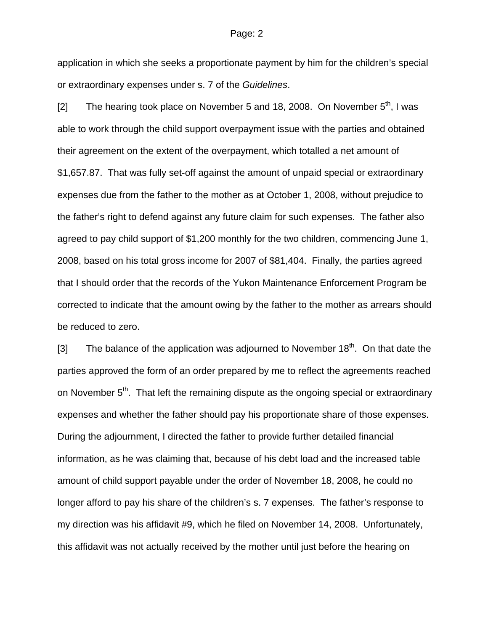application in which she seeks a proportionate payment by him for the children's special or extraordinary expenses under s. 7 of the *Guidelines*.

[2] The hearing took place on November 5 and 18, 2008. On November  $5<sup>th</sup>$ , I was able to work through the child support overpayment issue with the parties and obtained their agreement on the extent of the overpayment, which totalled a net amount of \$1,657.87. That was fully set-off against the amount of unpaid special or extraordinary expenses due from the father to the mother as at October 1, 2008, without prejudice to the father's right to defend against any future claim for such expenses. The father also agreed to pay child support of \$1,200 monthly for the two children, commencing June 1, 2008, based on his total gross income for 2007 of \$81,404. Finally, the parties agreed that I should order that the records of the Yukon Maintenance Enforcement Program be corrected to indicate that the amount owing by the father to the mother as arrears should be reduced to zero.

[3] The balance of the application was adjourned to November  $18<sup>th</sup>$ . On that date the parties approved the form of an order prepared by me to reflect the agreements reached on November 5<sup>th</sup>. That left the remaining dispute as the ongoing special or extraordinary expenses and whether the father should pay his proportionate share of those expenses. During the adjournment, I directed the father to provide further detailed financial information, as he was claiming that, because of his debt load and the increased table amount of child support payable under the order of November 18, 2008, he could no longer afford to pay his share of the children's s. 7 expenses. The father's response to my direction was his affidavit #9, which he filed on November 14, 2008. Unfortunately, this affidavit was not actually received by the mother until just before the hearing on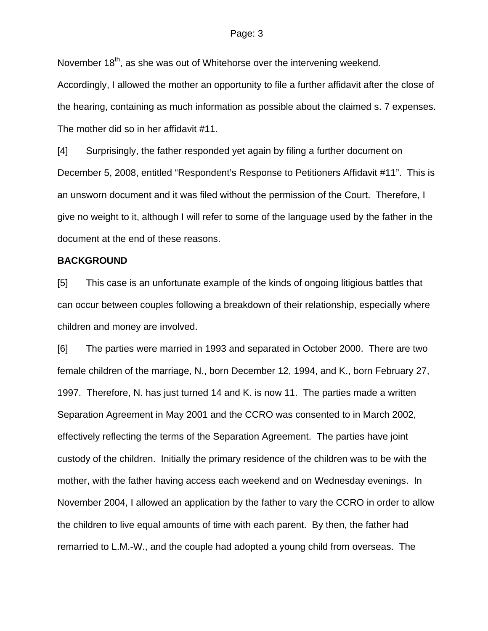November 18<sup>th</sup>, as she was out of Whitehorse over the intervening weekend.

Accordingly, I allowed the mother an opportunity to file a further affidavit after the close of the hearing, containing as much information as possible about the claimed s. 7 expenses. The mother did so in her affidavit #11.

[4] Surprisingly, the father responded yet again by filing a further document on December 5, 2008, entitled "Respondent's Response to Petitioners Affidavit #11". This is an unsworn document and it was filed without the permission of the Court. Therefore, I give no weight to it, although I will refer to some of the language used by the father in the document at the end of these reasons.

### **BACKGROUND**

[5] This case is an unfortunate example of the kinds of ongoing litigious battles that can occur between couples following a breakdown of their relationship, especially where children and money are involved.

[6] The parties were married in 1993 and separated in October 2000. There are two female children of the marriage, N., born December 12, 1994, and K., born February 27, 1997. Therefore, N. has just turned 14 and K. is now 11. The parties made a written Separation Agreement in May 2001 and the CCRO was consented to in March 2002, effectively reflecting the terms of the Separation Agreement. The parties have joint custody of the children. Initially the primary residence of the children was to be with the mother, with the father having access each weekend and on Wednesday evenings. In November 2004, I allowed an application by the father to vary the CCRO in order to allow the children to live equal amounts of time with each parent. By then, the father had remarried to L.M.-W., and the couple had adopted a young child from overseas. The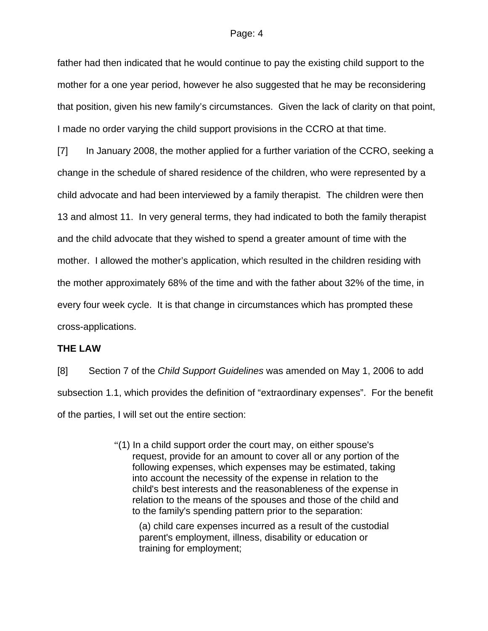father had then indicated that he would continue to pay the existing child support to the mother for a one year period, however he also suggested that he may be reconsidering that position, given his new family's circumstances. Given the lack of clarity on that point, I made no order varying the child support provisions in the CCRO at that time.

[7] In January 2008, the mother applied for a further variation of the CCRO, seeking a change in the schedule of shared residence of the children, who were represented by a child advocate and had been interviewed by a family therapist. The children were then 13 and almost 11. In very general terms, they had indicated to both the family therapist and the child advocate that they wished to spend a greater amount of time with the mother. I allowed the mother's application, which resulted in the children residing with the mother approximately 68% of the time and with the father about 32% of the time, in every four week cycle. It is that change in circumstances which has prompted these cross-applications.

### **THE LAW**

[8] Section 7 of the *Child Support Guidelines* was amended on May 1, 2006 to add subsection 1.1, which provides the definition of "extraordinary expenses". For the benefit of the parties, I will set out the entire section:

> "(1) In a child support order the court may, on either spouse's request, provide for an amount to cover all or any portion of the following expenses, which expenses may be estimated, taking into account the necessity of the expense in relation to the child's best interests and the reasonableness of the expense in relation to the means of the spouses and those of the child and to the family's spending pattern prior to the separation:

(a) child care expenses incurred as a result of the custodial parent's employment, illness, disability or education or training for employment;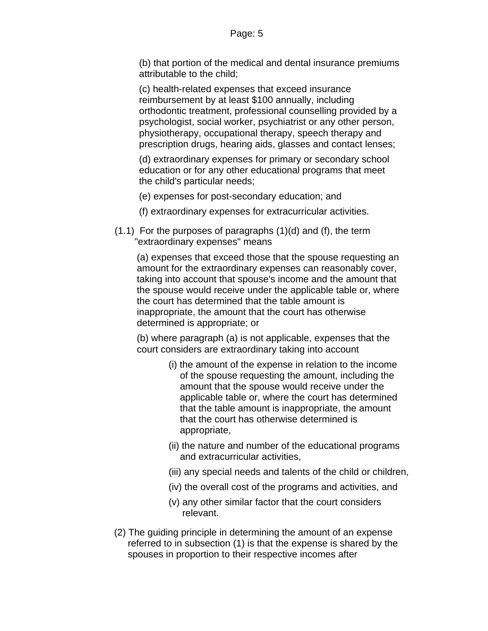(b) that portion of the medical and dental insurance premiums attributable to the child;

(c) health-related expenses that exceed insurance reimbursement by at least \$100 annually, including orthodontic treatment, professional counselling provided by a psychologist, social worker, psychiatrist or any other person, physiotherapy, occupational therapy, speech therapy and prescription drugs, hearing aids, glasses and contact lenses;

(d) extraordinary expenses for primary or secondary school education or for any other educational programs that meet the child's particular needs;

- (e) expenses for post-secondary education; and
- (f) extraordinary expenses for extracurricular activities.
- (1.1) For the purposes of paragraphs (1)(d) and (f), the term "extraordinary expenses" means

(a) expenses that exceed those that the spouse requesting an amount for the extraordinary expenses can reasonably cover, taking into account that spouse's income and the amount that the spouse would receive under the applicable table or, where the court has determined that the table amount is inappropriate, the amount that the court has otherwise determined is appropriate; or

(b) where paragraph (a) is not applicable, expenses that the court considers are extraordinary taking into account

- (i) the amount of the expense in relation to the income of the spouse requesting the amount, including the amount that the spouse would receive under the applicable table or, where the court has determined that the table amount is inappropriate, the amount that the court has otherwise determined is appropriate,
- (ii) the nature and number of the educational programs and extracurricular activities,
- (iii) any special needs and talents of the child or children,
- (iv) the overall cost of the programs and activities, and
- (v) any other similar factor that the court considers relevant.
- (2) The guiding principle in determining the amount of an expense referred to in subsection (1) is that the expense is shared by the spouses in proportion to their respective incomes after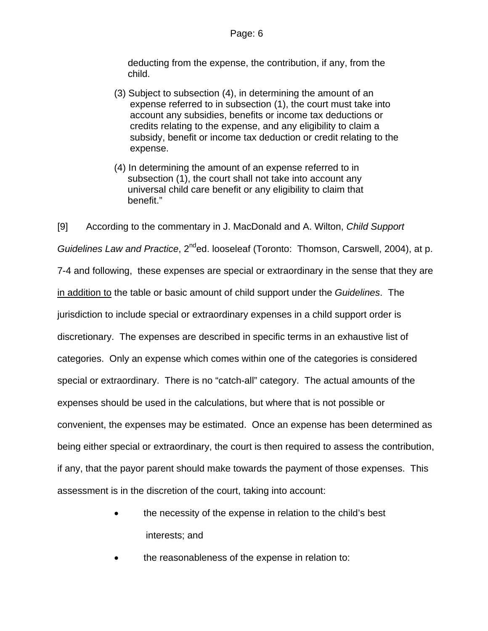deducting from the expense, the contribution, if any, from the child.

- (3) Subject to subsection (4), in determining the amount of an expense referred to in subsection (1), the court must take into account any subsidies, benefits or income tax deductions or credits relating to the expense, and any eligibility to claim a subsidy, benefit or income tax deduction or credit relating to the expense.
- (4) In determining the amount of an expense referred to in subsection (1), the court shall not take into account any universal child care benefit or any eligibility to claim that benefit."

[9] According to the commentary in J. MacDonald and A. Wilton, *Child Support Guidelines Law and Practice*, 2<sup>nd</sup>ed. looseleaf (Toronto: Thomson, Carswell, 2004), at p. 7-4 and following, these expenses are special or extraordinary in the sense that they are in addition to the table or basic amount of child support under the *Guidelines*. The jurisdiction to include special or extraordinary expenses in a child support order is discretionary. The expenses are described in specific terms in an exhaustive list of categories. Only an expense which comes within one of the categories is considered special or extraordinary. There is no "catch-all" category. The actual amounts of the expenses should be used in the calculations, but where that is not possible or convenient, the expenses may be estimated. Once an expense has been determined as being either special or extraordinary, the court is then required to assess the contribution, if any, that the payor parent should make towards the payment of those expenses. This assessment is in the discretion of the court, taking into account:

- the necessity of the expense in relation to the child's best interests; and
- the reasonableness of the expense in relation to: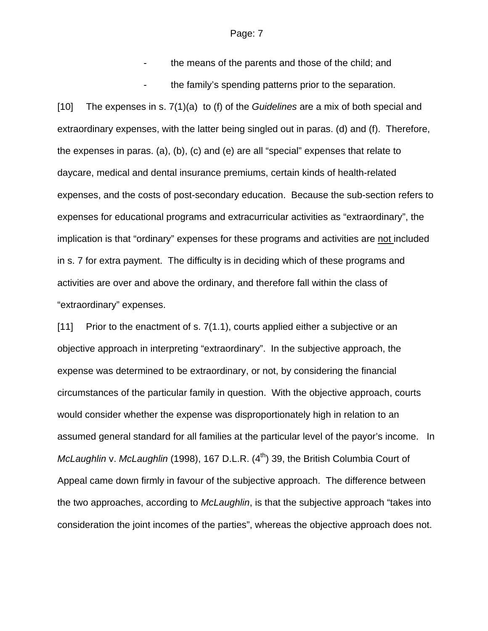the means of the parents and those of the child; and

the family's spending patterns prior to the separation.

[10] The expenses in s. 7(1)(a) to (f) of the *Guidelines* are a mix of both special and extraordinary expenses, with the latter being singled out in paras. (d) and (f). Therefore, the expenses in paras. (a), (b), (c) and (e) are all "special" expenses that relate to daycare, medical and dental insurance premiums, certain kinds of health-related expenses, and the costs of post-secondary education. Because the sub-section refers to expenses for educational programs and extracurricular activities as "extraordinary", the implication is that "ordinary" expenses for these programs and activities are not included in s. 7 for extra payment. The difficulty is in deciding which of these programs and activities are over and above the ordinary, and therefore fall within the class of "extraordinary" expenses.

[11] Prior to the enactment of s. 7(1.1), courts applied either a subjective or an objective approach in interpreting "extraordinary". In the subjective approach, the expense was determined to be extraordinary, or not, by considering the financial circumstances of the particular family in question. With the objective approach, courts would consider whether the expense was disproportionately high in relation to an assumed general standard for all families at the particular level of the payor's income. In *McLaughlin* v. *McLaughlin* (1998), 167 D.L.R. (4<sup>th</sup>) 39, the British Columbia Court of Appeal came down firmly in favour of the subjective approach. The difference between the two approaches, according to *McLaughlin*, is that the subjective approach "takes into consideration the joint incomes of the parties", whereas the objective approach does not.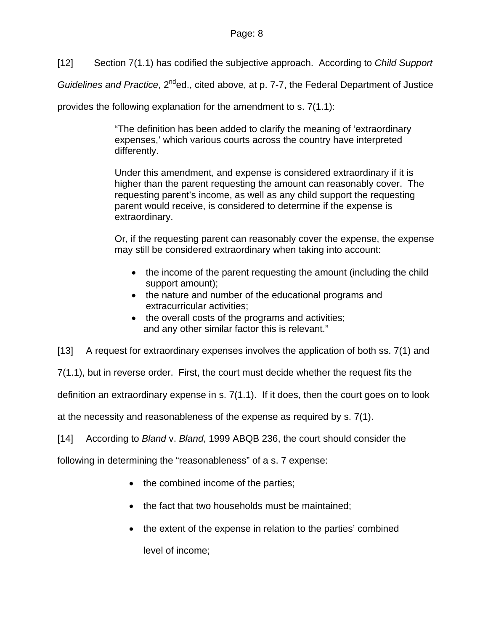[12] Section 7(1.1) has codified the subjective approach. According to *Child Support* 

*Guidelines and Practice*, 2<sup>nd</sup>ed., cited above, at p. 7-7, the Federal Department of Justice

provides the following explanation for the amendment to s. 7(1.1):

"The definition has been added to clarify the meaning of 'extraordinary expenses,' which various courts across the country have interpreted differently.

Under this amendment, and expense is considered extraordinary if it is higher than the parent requesting the amount can reasonably cover. The requesting parent's income, as well as any child support the requesting parent would receive, is considered to determine if the expense is extraordinary.

Or, if the requesting parent can reasonably cover the expense, the expense may still be considered extraordinary when taking into account:

- the income of the parent requesting the amount (including the child support amount);
- the nature and number of the educational programs and extracurricular activities;
- the overall costs of the programs and activities; and any other similar factor this is relevant."

[13] A request for extraordinary expenses involves the application of both ss. 7(1) and

7(1.1), but in reverse order. First, the court must decide whether the request fits the

definition an extraordinary expense in s. 7(1.1). If it does, then the court goes on to look

at the necessity and reasonableness of the expense as required by s. 7(1).

[14] According to *Bland* v. *Bland*, 1999 ABQB 236, the court should consider the

following in determining the "reasonableness" of a s. 7 expense:

- the combined income of the parties;
- the fact that two households must be maintained;
- the extent of the expense in relation to the parties' combined level of income;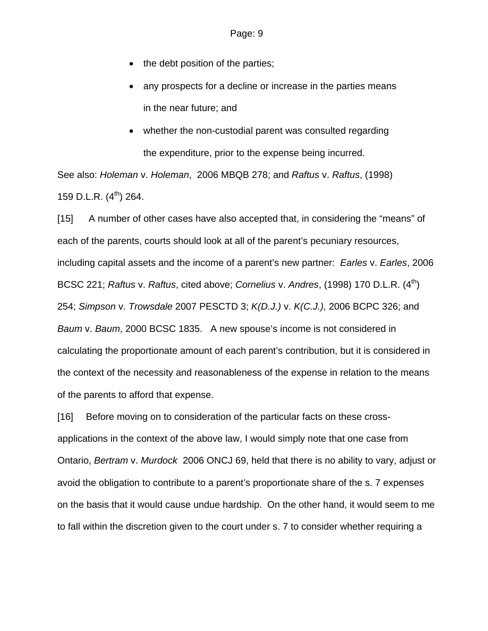- the debt position of the parties;
- any prospects for a decline or increase in the parties means in the near future; and
- whether the non-custodial parent was consulted regarding the expenditure, prior to the expense being incurred.

See also: *Holeman* v. *Holeman*, 2006 MBQB 278; and *Raftus* v. *Raftus*, (1998) 159 D.L.R.  $(4^{th})$  264.

[15] A number of other cases have also accepted that, in considering the "means" of each of the parents, courts should look at all of the parent's pecuniary resources, including capital assets and the income of a parent's new partner: *Earles* v. *Earles*, 2006 BCSC 221; *Raftus v. Raftus*, cited above; *Cornelius v. Andres*, (1998) 170 D.L.R. (4<sup>th</sup>) 254; *Simpson* v. *Trowsdale* 2007 PESCTD 3; *K(D.J.)* v. *K(C.J.),* 2006 BCPC 326; and *Baum* v. *Baum*, 2000 BCSC 1835. A new spouse's income is not considered in calculating the proportionate amount of each parent's contribution, but it is considered in the context of the necessity and reasonableness of the expense in relation to the means of the parents to afford that expense.

[16] Before moving on to consideration of the particular facts on these crossapplications in the context of the above law, I would simply note that one case from Ontario, *Bertram* v. *Murdock* 2006 ONCJ 69, held that there is no ability to vary, adjust or avoid the obligation to contribute to a parent's proportionate share of the s. 7 expenses on the basis that it would cause undue hardship. On the other hand, it would seem to me to fall within the discretion given to the court under s. 7 to consider whether requiring a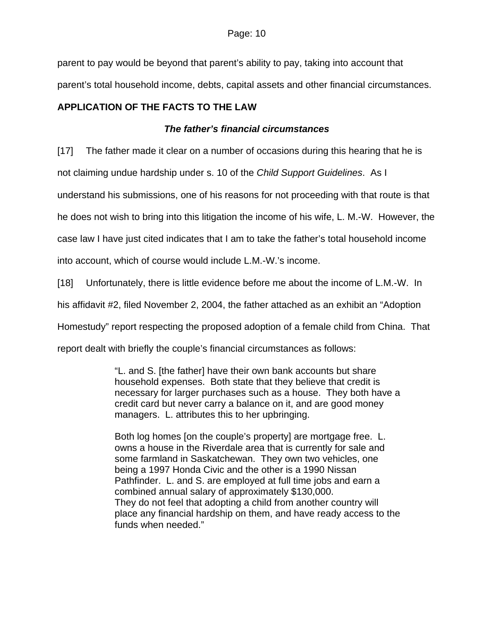parent to pay would be beyond that parent's ability to pay, taking into account that

parent's total household income, debts, capital assets and other financial circumstances.

# **APPLICATION OF THE FACTS TO THE LAW**

# *The father's financial circumstances*

[17] The father made it clear on a number of occasions during this hearing that he is

not claiming undue hardship under s. 10 of the *Child Support Guidelines*. As I

understand his submissions, one of his reasons for not proceeding with that route is that

he does not wish to bring into this litigation the income of his wife, L. M.-W. However, the

case law I have just cited indicates that I am to take the father's total household income

into account, which of course would include L.M.-W.'s income.

[18] Unfortunately, there is little evidence before me about the income of L.M.-W. In

his affidavit #2, filed November 2, 2004, the father attached as an exhibit an "Adoption

Homestudy" report respecting the proposed adoption of a female child from China. That

report dealt with briefly the couple's financial circumstances as follows:

"L. and S. [the father] have their own bank accounts but share household expenses. Both state that they believe that credit is necessary for larger purchases such as a house. They both have a credit card but never carry a balance on it, and are good money managers. L. attributes this to her upbringing.

Both log homes [on the couple's property] are mortgage free. L. owns a house in the Riverdale area that is currently for sale and some farmland in Saskatchewan. They own two vehicles, one being a 1997 Honda Civic and the other is a 1990 Nissan Pathfinder. L. and S. are employed at full time jobs and earn a combined annual salary of approximately \$130,000. They do not feel that adopting a child from another country will place any financial hardship on them, and have ready access to the funds when needed."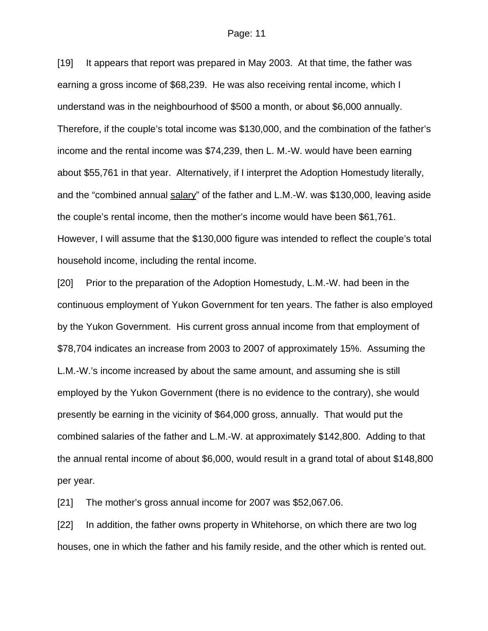[19] It appears that report was prepared in May 2003. At that time, the father was earning a gross income of \$68,239. He was also receiving rental income, which I understand was in the neighbourhood of \$500 a month, or about \$6,000 annually. Therefore, if the couple's total income was \$130,000, and the combination of the father's income and the rental income was \$74,239, then L. M.-W. would have been earning about \$55,761 in that year. Alternatively, if I interpret the Adoption Homestudy literally, and the "combined annual salary" of the father and L.M.-W. was \$130,000, leaving aside the couple's rental income, then the mother's income would have been \$61,761. However, I will assume that the \$130,000 figure was intended to reflect the couple's total household income, including the rental income.

[20] Prior to the preparation of the Adoption Homestudy, L.M.-W. had been in the continuous employment of Yukon Government for ten years. The father is also employed by the Yukon Government. His current gross annual income from that employment of \$78,704 indicates an increase from 2003 to 2007 of approximately 15%. Assuming the L.M.-W.'s income increased by about the same amount, and assuming she is still employed by the Yukon Government (there is no evidence to the contrary), she would presently be earning in the vicinity of \$64,000 gross, annually. That would put the combined salaries of the father and L.M.-W. at approximately \$142,800. Adding to that the annual rental income of about \$6,000, would result in a grand total of about \$148,800 per year.

[21] The mother's gross annual income for 2007 was \$52,067.06.

[22] In addition, the father owns property in Whitehorse, on which there are two log houses, one in which the father and his family reside, and the other which is rented out.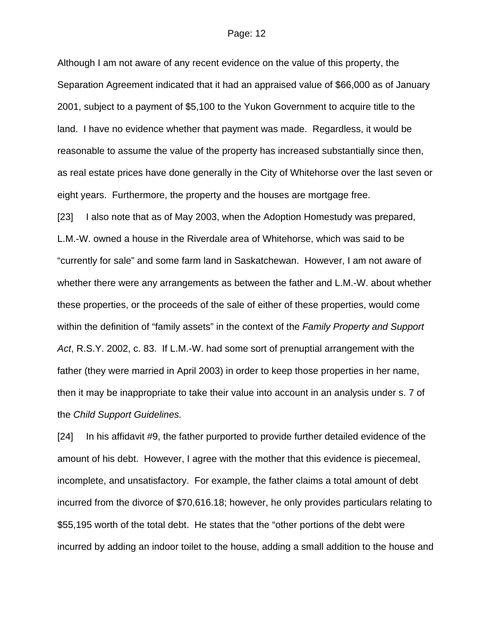Although I am not aware of any recent evidence on the value of this property, the Separation Agreement indicated that it had an appraised value of \$66,000 as of January 2001, subject to a payment of \$5,100 to the Yukon Government to acquire title to the land. I have no evidence whether that payment was made. Regardless, it would be reasonable to assume the value of the property has increased substantially since then, as real estate prices have done generally in the City of Whitehorse over the last seven or eight years. Furthermore, the property and the houses are mortgage free.

[23] I also note that as of May 2003, when the Adoption Homestudy was prepared, L.M.-W. owned a house in the Riverdale area of Whitehorse, which was said to be "currently for sale" and some farm land in Saskatchewan. However, I am not aware of whether there were any arrangements as between the father and L.M.-W. about whether these properties, or the proceeds of the sale of either of these properties, would come within the definition of "family assets" in the context of the *Family Property and Support Act*, R.S.Y. 2002, c. 83. If L.M.-W. had some sort of prenuptial arrangement with the father (they were married in April 2003) in order to keep those properties in her name, then it may be inappropriate to take their value into account in an analysis under s. 7 of the *Child Support Guidelines.*

[24] In his affidavit #9, the father purported to provide further detailed evidence of the amount of his debt. However, I agree with the mother that this evidence is piecemeal, incomplete, and unsatisfactory. For example, the father claims a total amount of debt incurred from the divorce of \$70,616.18; however, he only provides particulars relating to \$55,195 worth of the total debt. He states that the "other portions of the debt were incurred by adding an indoor toilet to the house, adding a small addition to the house and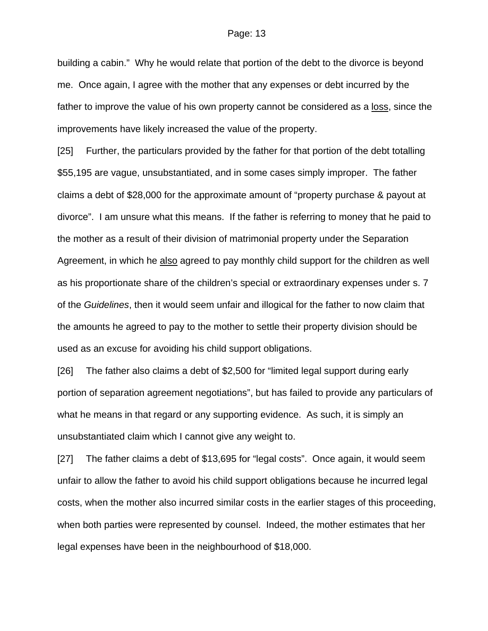building a cabin." Why he would relate that portion of the debt to the divorce is beyond me. Once again, I agree with the mother that any expenses or debt incurred by the father to improve the value of his own property cannot be considered as a loss, since the improvements have likely increased the value of the property.

[25] Further, the particulars provided by the father for that portion of the debt totalling \$55,195 are vague, unsubstantiated, and in some cases simply improper. The father claims a debt of \$28,000 for the approximate amount of "property purchase & payout at divorce". I am unsure what this means. If the father is referring to money that he paid to the mother as a result of their division of matrimonial property under the Separation Agreement, in which he also agreed to pay monthly child support for the children as well as his proportionate share of the children's special or extraordinary expenses under s. 7 of the *Guidelines*, then it would seem unfair and illogical for the father to now claim that the amounts he agreed to pay to the mother to settle their property division should be used as an excuse for avoiding his child support obligations.

[26] The father also claims a debt of \$2,500 for "limited legal support during early portion of separation agreement negotiations", but has failed to provide any particulars of what he means in that regard or any supporting evidence. As such, it is simply an unsubstantiated claim which I cannot give any weight to.

[27] The father claims a debt of \$13,695 for "legal costs". Once again, it would seem unfair to allow the father to avoid his child support obligations because he incurred legal costs, when the mother also incurred similar costs in the earlier stages of this proceeding, when both parties were represented by counsel. Indeed, the mother estimates that her legal expenses have been in the neighbourhood of \$18,000.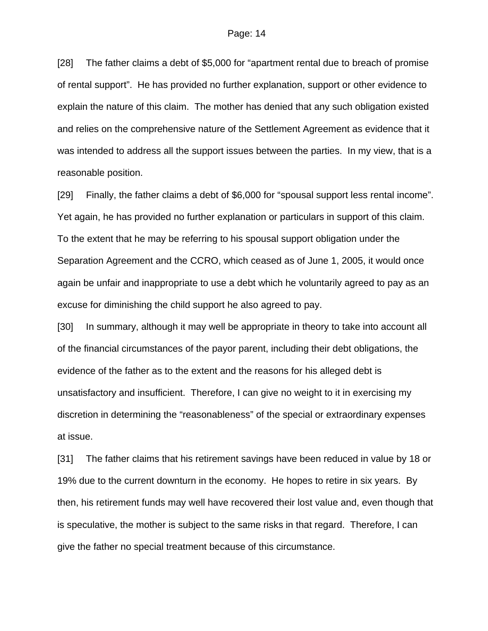[28] The father claims a debt of \$5,000 for "apartment rental due to breach of promise of rental support". He has provided no further explanation, support or other evidence to explain the nature of this claim. The mother has denied that any such obligation existed and relies on the comprehensive nature of the Settlement Agreement as evidence that it was intended to address all the support issues between the parties. In my view, that is a reasonable position.

[29] Finally, the father claims a debt of \$6,000 for "spousal support less rental income". Yet again, he has provided no further explanation or particulars in support of this claim. To the extent that he may be referring to his spousal support obligation under the Separation Agreement and the CCRO, which ceased as of June 1, 2005, it would once again be unfair and inappropriate to use a debt which he voluntarily agreed to pay as an excuse for diminishing the child support he also agreed to pay.

[30] In summary, although it may well be appropriate in theory to take into account all of the financial circumstances of the payor parent, including their debt obligations, the evidence of the father as to the extent and the reasons for his alleged debt is unsatisfactory and insufficient. Therefore, I can give no weight to it in exercising my discretion in determining the "reasonableness" of the special or extraordinary expenses at issue.

[31] The father claims that his retirement savings have been reduced in value by 18 or 19% due to the current downturn in the economy. He hopes to retire in six years. By then, his retirement funds may well have recovered their lost value and, even though that is speculative, the mother is subject to the same risks in that regard. Therefore, I can give the father no special treatment because of this circumstance.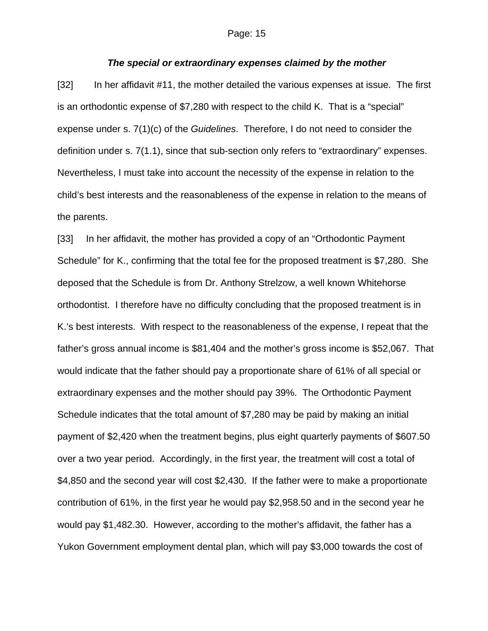### *The special or extraordinary expenses claimed by the mother*

[32] In her affidavit #11, the mother detailed the various expenses at issue. The first is an orthodontic expense of \$7,280 with respect to the child K. That is a "special" expense under s. 7(1)(c) of the *Guidelines*. Therefore, I do not need to consider the definition under s. 7(1.1), since that sub-section only refers to "extraordinary" expenses. Nevertheless, I must take into account the necessity of the expense in relation to the child's best interests and the reasonableness of the expense in relation to the means of the parents.

[33] In her affidavit, the mother has provided a copy of an "Orthodontic Payment Schedule" for K., confirming that the total fee for the proposed treatment is \$7,280. She deposed that the Schedule is from Dr. Anthony Strelzow, a well known Whitehorse orthodontist. I therefore have no difficulty concluding that the proposed treatment is in K.'s best interests. With respect to the reasonableness of the expense, I repeat that the father's gross annual income is \$81,404 and the mother's gross income is \$52,067. That would indicate that the father should pay a proportionate share of 61% of all special or extraordinary expenses and the mother should pay 39%. The Orthodontic Payment Schedule indicates that the total amount of \$7,280 may be paid by making an initial payment of \$2,420 when the treatment begins, plus eight quarterly payments of \$607.50 over a two year period. Accordingly, in the first year, the treatment will cost a total of \$4,850 and the second year will cost \$2,430. If the father were to make a proportionate contribution of 61%, in the first year he would pay \$2,958.50 and in the second year he would pay \$1,482.30. However, according to the mother's affidavit, the father has a Yukon Government employment dental plan, which will pay \$3,000 towards the cost of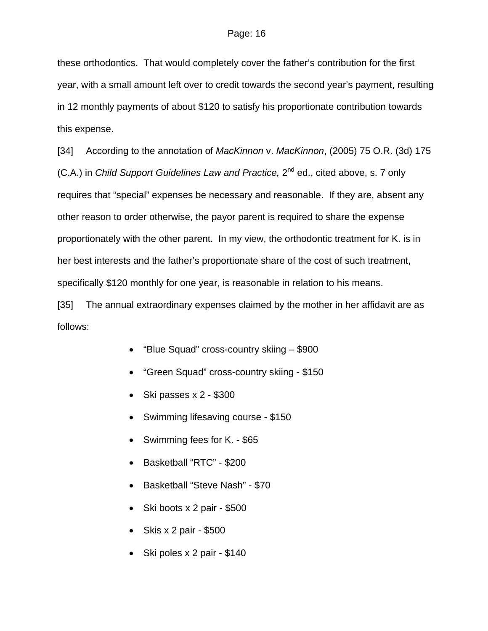these orthodontics. That would completely cover the father's contribution for the first year, with a small amount left over to credit towards the second year's payment, resulting in 12 monthly payments of about \$120 to satisfy his proportionate contribution towards this expense.

[34] According to the annotation of *MacKinnon* v. *MacKinnon*, (2005) 75 O.R. (3d) 175 (C.A.) in *Child Support Guidelines Law and Practice,* 2nd ed., cited above, s. 7 only requires that "special" expenses be necessary and reasonable. If they are, absent any other reason to order otherwise, the payor parent is required to share the expense proportionately with the other parent. In my view, the orthodontic treatment for K. is in her best interests and the father's proportionate share of the cost of such treatment, specifically \$120 monthly for one year, is reasonable in relation to his means.

[35] The annual extraordinary expenses claimed by the mother in her affidavit are as follows:

- "Blue Squad" cross-country skiing \$900
- "Green Squad" cross-country skiing \$150
- Ski passes  $x 2 $300$
- Swimming lifesaving course \$150
- Swimming fees for K. \$65
- Basketball "RTC" \$200
- Basketball "Steve Nash" \$70
- Ski boots x 2 pair \$500
- Skis  $x 2$  pair \$500
- Ski poles x 2 pair \$140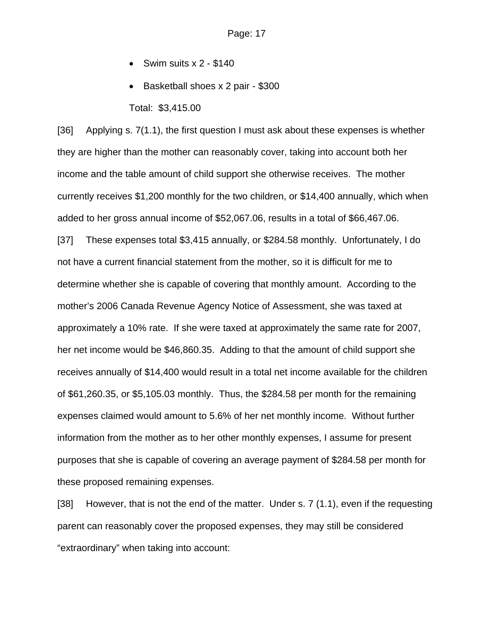- Swim suits  $x$  2 \$140
- Basketball shoes x 2 pair \$300
- Total: \$3,415.00

[36] Applying s. 7(1.1), the first question I must ask about these expenses is whether they are higher than the mother can reasonably cover, taking into account both her income and the table amount of child support she otherwise receives. The mother currently receives \$1,200 monthly for the two children, or \$14,400 annually, which when added to her gross annual income of \$52,067.06, results in a total of \$66,467.06. [37] These expenses total \$3,415 annually, or \$284.58 monthly. Unfortunately, I do not have a current financial statement from the mother, so it is difficult for me to determine whether she is capable of covering that monthly amount. According to the mother's 2006 Canada Revenue Agency Notice of Assessment, she was taxed at approximately a 10% rate. If she were taxed at approximately the same rate for 2007, her net income would be \$46,860.35. Adding to that the amount of child support she receives annually of \$14,400 would result in a total net income available for the children of \$61,260.35, or \$5,105.03 monthly. Thus, the \$284.58 per month for the remaining expenses claimed would amount to 5.6% of her net monthly income. Without further information from the mother as to her other monthly expenses, I assume for present purposes that she is capable of covering an average payment of \$284.58 per month for these proposed remaining expenses.

[38] However, that is not the end of the matter. Under s. 7 (1.1), even if the requesting parent can reasonably cover the proposed expenses, they may still be considered "extraordinary" when taking into account: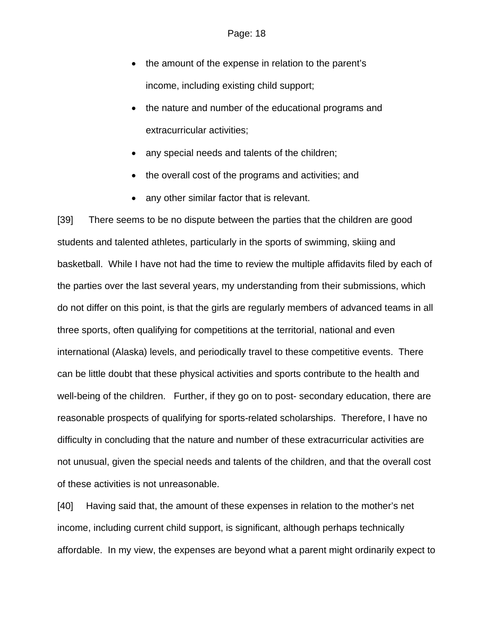- the amount of the expense in relation to the parent's income, including existing child support;
- the nature and number of the educational programs and extracurricular activities;
- any special needs and talents of the children;
- the overall cost of the programs and activities; and
- any other similar factor that is relevant.

[39] There seems to be no dispute between the parties that the children are good students and talented athletes, particularly in the sports of swimming, skiing and basketball. While I have not had the time to review the multiple affidavits filed by each of the parties over the last several years, my understanding from their submissions, which do not differ on this point, is that the girls are regularly members of advanced teams in all three sports, often qualifying for competitions at the territorial, national and even international (Alaska) levels, and periodically travel to these competitive events. There can be little doubt that these physical activities and sports contribute to the health and well-being of the children. Further, if they go on to post- secondary education, there are reasonable prospects of qualifying for sports-related scholarships. Therefore, I have no difficulty in concluding that the nature and number of these extracurricular activities are not unusual, given the special needs and talents of the children, and that the overall cost of these activities is not unreasonable.

[40] Having said that, the amount of these expenses in relation to the mother's net income, including current child support, is significant, although perhaps technically affordable. In my view, the expenses are beyond what a parent might ordinarily expect to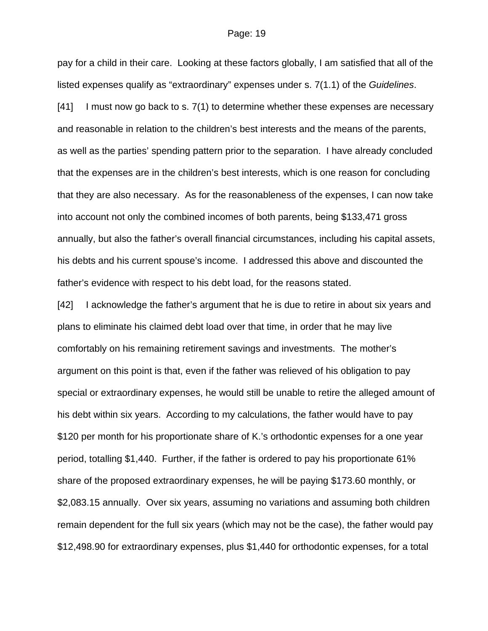pay for a child in their care. Looking at these factors globally, I am satisfied that all of the listed expenses qualify as "extraordinary" expenses under s. 7(1.1) of the *Guidelines*. [41] I must now go back to s. 7(1) to determine whether these expenses are necessary and reasonable in relation to the children's best interests and the means of the parents, as well as the parties' spending pattern prior to the separation. I have already concluded that the expenses are in the children's best interests, which is one reason for concluding that they are also necessary. As for the reasonableness of the expenses, I can now take into account not only the combined incomes of both parents, being \$133,471 gross annually, but also the father's overall financial circumstances, including his capital assets, his debts and his current spouse's income. I addressed this above and discounted the father's evidence with respect to his debt load, for the reasons stated.

[42] I acknowledge the father's argument that he is due to retire in about six years and plans to eliminate his claimed debt load over that time, in order that he may live comfortably on his remaining retirement savings and investments. The mother's argument on this point is that, even if the father was relieved of his obligation to pay special or extraordinary expenses, he would still be unable to retire the alleged amount of his debt within six years. According to my calculations, the father would have to pay \$120 per month for his proportionate share of K.'s orthodontic expenses for a one year period, totalling \$1,440. Further, if the father is ordered to pay his proportionate 61% share of the proposed extraordinary expenses, he will be paying \$173.60 monthly, or \$2,083.15 annually. Over six years, assuming no variations and assuming both children remain dependent for the full six years (which may not be the case), the father would pay \$12,498.90 for extraordinary expenses, plus \$1,440 for orthodontic expenses, for a total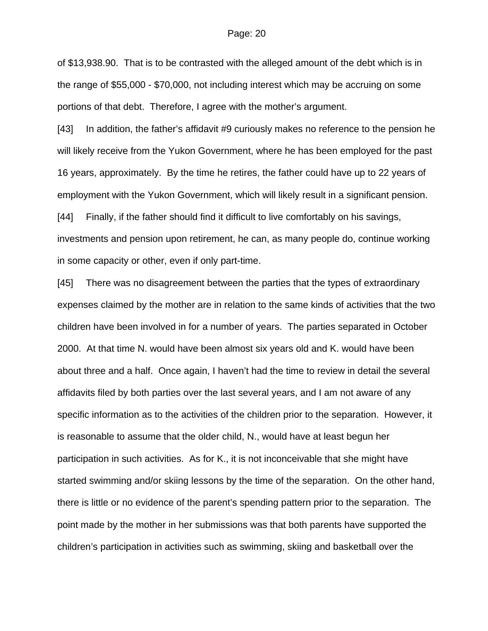of \$13,938.90. That is to be contrasted with the alleged amount of the debt which is in the range of \$55,000 - \$70,000, not including interest which may be accruing on some portions of that debt. Therefore, I agree with the mother's argument.

[43] In addition, the father's affidavit #9 curiously makes no reference to the pension he will likely receive from the Yukon Government, where he has been employed for the past 16 years, approximately. By the time he retires, the father could have up to 22 years of employment with the Yukon Government, which will likely result in a significant pension.

[44] Finally, if the father should find it difficult to live comfortably on his savings, investments and pension upon retirement, he can, as many people do, continue working in some capacity or other, even if only part-time.

[45] There was no disagreement between the parties that the types of extraordinary expenses claimed by the mother are in relation to the same kinds of activities that the two children have been involved in for a number of years. The parties separated in October 2000. At that time N. would have been almost six years old and K. would have been about three and a half. Once again, I haven't had the time to review in detail the several affidavits filed by both parties over the last several years, and I am not aware of any specific information as to the activities of the children prior to the separation. However, it is reasonable to assume that the older child, N., would have at least begun her participation in such activities. As for K., it is not inconceivable that she might have started swimming and/or skiing lessons by the time of the separation. On the other hand, there is little or no evidence of the parent's spending pattern prior to the separation. The point made by the mother in her submissions was that both parents have supported the children's participation in activities such as swimming, skiing and basketball over the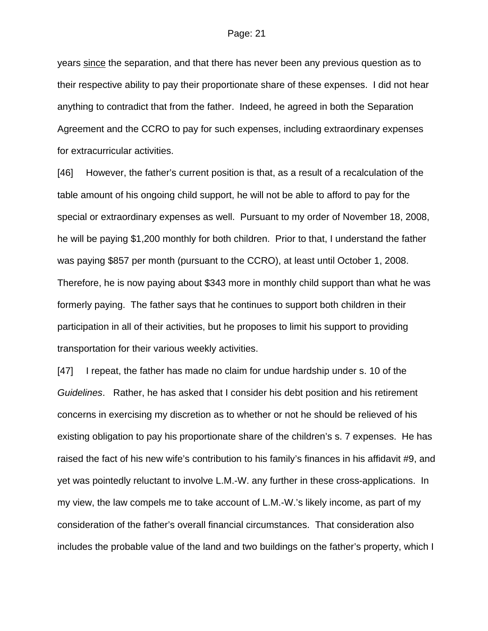years since the separation, and that there has never been any previous question as to their respective ability to pay their proportionate share of these expenses. I did not hear anything to contradict that from the father. Indeed, he agreed in both the Separation Agreement and the CCRO to pay for such expenses, including extraordinary expenses for extracurricular activities.

[46] However, the father's current position is that, as a result of a recalculation of the table amount of his ongoing child support, he will not be able to afford to pay for the special or extraordinary expenses as well. Pursuant to my order of November 18, 2008, he will be paying \$1,200 monthly for both children. Prior to that, I understand the father was paying \$857 per month (pursuant to the CCRO), at least until October 1, 2008. Therefore, he is now paying about \$343 more in monthly child support than what he was formerly paying. The father says that he continues to support both children in their participation in all of their activities, but he proposes to limit his support to providing transportation for their various weekly activities.

[47] I repeat, the father has made no claim for undue hardship under s. 10 of the *Guidelines*. Rather, he has asked that I consider his debt position and his retirement concerns in exercising my discretion as to whether or not he should be relieved of his existing obligation to pay his proportionate share of the children's s. 7 expenses. He has raised the fact of his new wife's contribution to his family's finances in his affidavit #9, and yet was pointedly reluctant to involve L.M.-W. any further in these cross-applications. In my view, the law compels me to take account of L.M.-W.'s likely income, as part of my consideration of the father's overall financial circumstances. That consideration also includes the probable value of the land and two buildings on the father's property, which I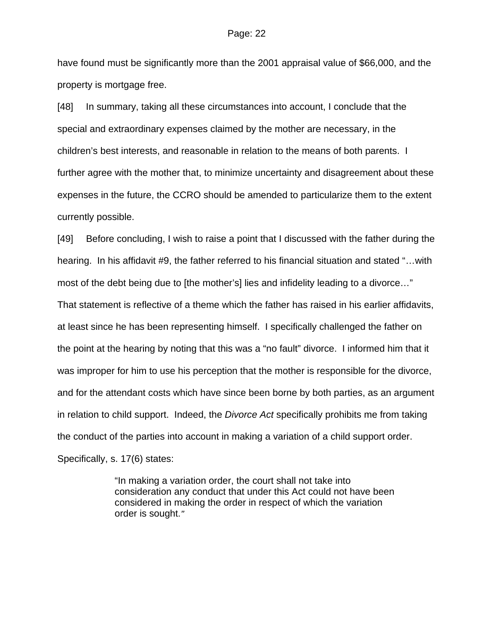have found must be significantly more than the 2001 appraisal value of \$66,000, and the property is mortgage free.

[48] In summary, taking all these circumstances into account, I conclude that the special and extraordinary expenses claimed by the mother are necessary, in the children's best interests, and reasonable in relation to the means of both parents. I further agree with the mother that, to minimize uncertainty and disagreement about these expenses in the future, the CCRO should be amended to particularize them to the extent currently possible.

[49] Before concluding, I wish to raise a point that I discussed with the father during the hearing. In his affidavit #9, the father referred to his financial situation and stated "...with most of the debt being due to [the mother's] lies and infidelity leading to a divorce…" That statement is reflective of a theme which the father has raised in his earlier affidavits, at least since he has been representing himself. I specifically challenged the father on the point at the hearing by noting that this was a "no fault" divorce. I informed him that it was improper for him to use his perception that the mother is responsible for the divorce, and for the attendant costs which have since been borne by both parties, as an argument in relation to child support. Indeed, the *Divorce Act* specifically prohibits me from taking the conduct of the parties into account in making a variation of a child support order. Specifically, s. 17(6) states:

> "In making a variation order, the court shall not take into consideration any conduct that under this Act could not have been considered in making the order in respect of which the variation order is sought."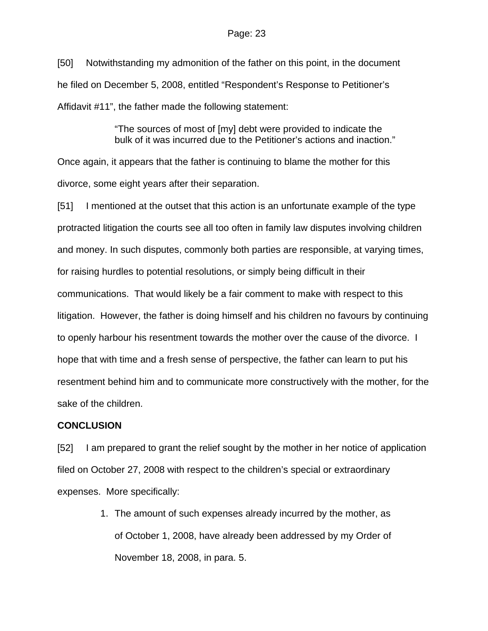[50] Notwithstanding my admonition of the father on this point, in the document he filed on December 5, 2008, entitled "Respondent's Response to Petitioner's Affidavit #11", the father made the following statement:

> "The sources of most of [my] debt were provided to indicate the bulk of it was incurred due to the Petitioner's actions and inaction."

Once again, it appears that the father is continuing to blame the mother for this divorce, some eight years after their separation.

[51] I mentioned at the outset that this action is an unfortunate example of the type protracted litigation the courts see all too often in family law disputes involving children and money. In such disputes, commonly both parties are responsible, at varying times, for raising hurdles to potential resolutions, or simply being difficult in their communications. That would likely be a fair comment to make with respect to this litigation. However, the father is doing himself and his children no favours by continuing to openly harbour his resentment towards the mother over the cause of the divorce. I hope that with time and a fresh sense of perspective, the father can learn to put his resentment behind him and to communicate more constructively with the mother, for the sake of the children.

## **CONCLUSION**

[52] I am prepared to grant the relief sought by the mother in her notice of application filed on October 27, 2008 with respect to the children's special or extraordinary expenses. More specifically:

> 1. The amount of such expenses already incurred by the mother, as of October 1, 2008, have already been addressed by my Order of November 18, 2008, in para. 5.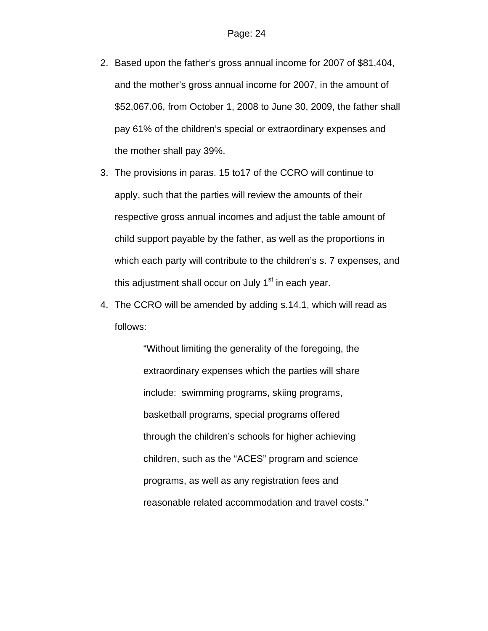- 2. Based upon the father's gross annual income for 2007 of \$81,404, and the mother's gross annual income for 2007, in the amount of \$52,067.06, from October 1, 2008 to June 30, 2009, the father shall pay 61% of the children's special or extraordinary expenses and the mother shall pay 39%.
- 3. The provisions in paras. 15 to17 of the CCRO will continue to apply, such that the parties will review the amounts of their respective gross annual incomes and adjust the table amount of child support payable by the father, as well as the proportions in which each party will contribute to the children's s. 7 expenses, and this adjustment shall occur on July  $1<sup>st</sup>$  in each year.
- 4. The CCRO will be amended by adding s.14.1, which will read as follows:

"Without limiting the generality of the foregoing, the extraordinary expenses which the parties will share include: swimming programs, skiing programs, basketball programs, special programs offered through the children's schools for higher achieving children, such as the "ACES" program and science programs, as well as any registration fees and reasonable related accommodation and travel costs."